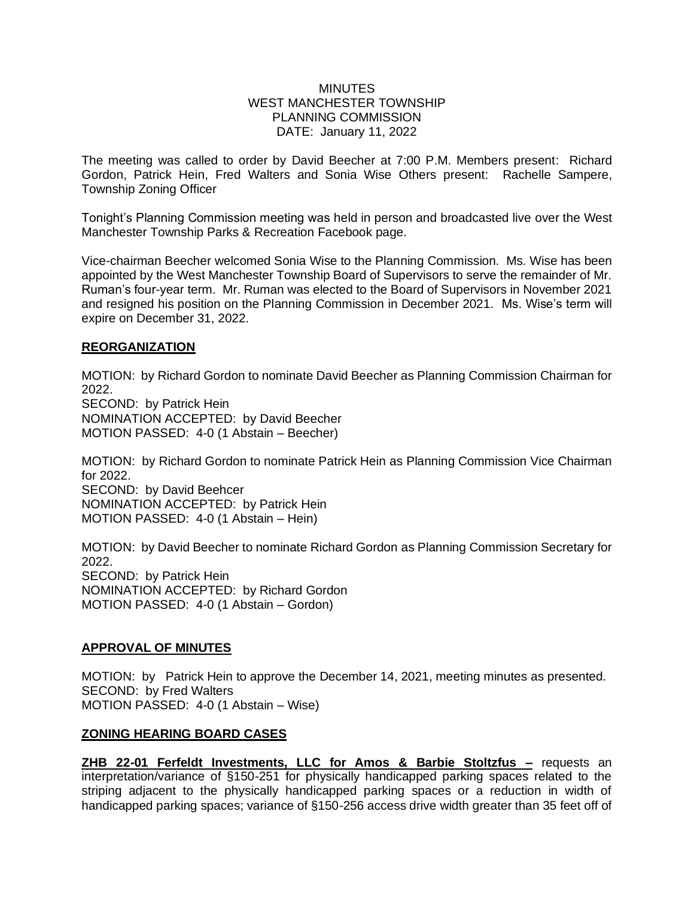#### **MINUTES** WEST MANCHESTER TOWNSHIP PLANNING COMMISSION DATE: January 11, 2022

The meeting was called to order by David Beecher at 7:00 P.M. Members present: Richard Gordon, Patrick Hein, Fred Walters and Sonia Wise Others present: Rachelle Sampere, Township Zoning Officer

Tonight's Planning Commission meeting was held in person and broadcasted live over the West Manchester Township Parks & Recreation Facebook page.

Vice-chairman Beecher welcomed Sonia Wise to the Planning Commission. Ms. Wise has been appointed by the West Manchester Township Board of Supervisors to serve the remainder of Mr. Ruman's four-year term. Mr. Ruman was elected to the Board of Supervisors in November 2021 and resigned his position on the Planning Commission in December 2021. Ms. Wise's term will expire on December 31, 2022.

#### **REORGANIZATION**

MOTION: by Richard Gordon to nominate David Beecher as Planning Commission Chairman for 2022. SECOND: by Patrick Hein NOMINATION ACCEPTED: by David Beecher MOTION PASSED: 4-0 (1 Abstain – Beecher)

MOTION: by Richard Gordon to nominate Patrick Hein as Planning Commission Vice Chairman for 2022. SECOND: by David Beehcer NOMINATION ACCEPTED: by Patrick Hein MOTION PASSED: 4-0 (1 Abstain – Hein)

MOTION: by David Beecher to nominate Richard Gordon as Planning Commission Secretary for 2022. SECOND: by Patrick Hein NOMINATION ACCEPTED: by Richard Gordon MOTION PASSED: 4-0 (1 Abstain – Gordon)

# **APPROVAL OF MINUTES**

MOTION: by Patrick Hein to approve the December 14, 2021, meeting minutes as presented. SECOND: by Fred Walters MOTION PASSED: 4-0 (1 Abstain – Wise)

# **ZONING HEARING BOARD CASES**

**ZHB 22-01 Ferfeldt Investments, LLC for Amos & Barbie Stoltzfus –** requests an interpretation/variance of §150-251 for physically handicapped parking spaces related to the striping adjacent to the physically handicapped parking spaces or a reduction in width of handicapped parking spaces; variance of §150-256 access drive width greater than 35 feet off of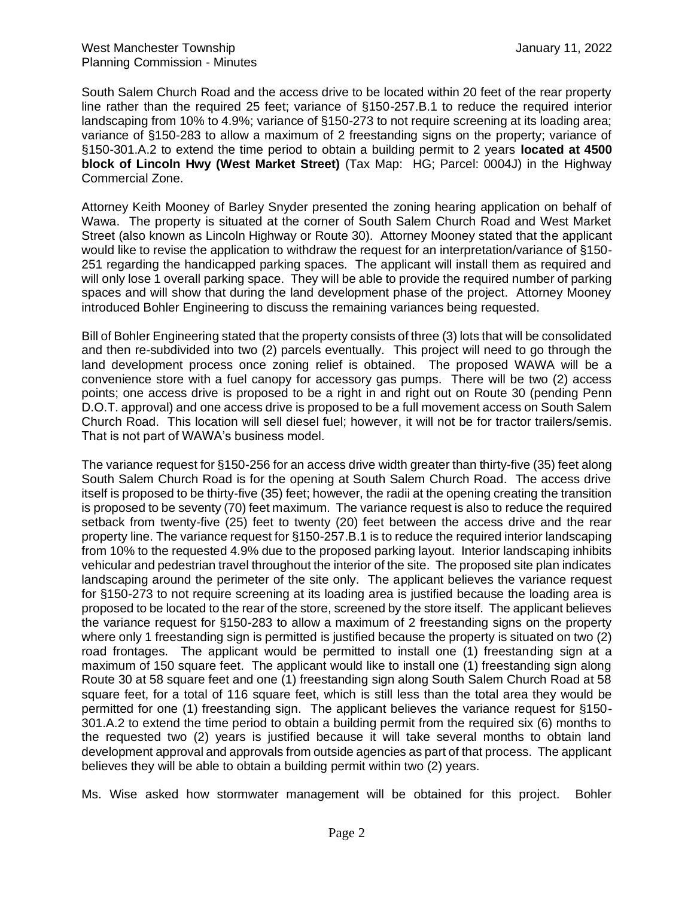South Salem Church Road and the access drive to be located within 20 feet of the rear property line rather than the required 25 feet; variance of §150-257.B.1 to reduce the required interior landscaping from 10% to 4.9%; variance of §150-273 to not require screening at its loading area; variance of §150-283 to allow a maximum of 2 freestanding signs on the property; variance of §150-301.A.2 to extend the time period to obtain a building permit to 2 years **located at 4500 block of Lincoln Hwy (West Market Street)** (Tax Map: HG; Parcel: 0004J) in the Highway Commercial Zone.

Attorney Keith Mooney of Barley Snyder presented the zoning hearing application on behalf of Wawa. The property is situated at the corner of South Salem Church Road and West Market Street (also known as Lincoln Highway or Route 30). Attorney Mooney stated that the applicant would like to revise the application to withdraw the request for an interpretation/variance of §150- 251 regarding the handicapped parking spaces. The applicant will install them as required and will only lose 1 overall parking space. They will be able to provide the required number of parking spaces and will show that during the land development phase of the project. Attorney Mooney introduced Bohler Engineering to discuss the remaining variances being requested.

Bill of Bohler Engineering stated that the property consists of three (3) lots that will be consolidated and then re-subdivided into two (2) parcels eventually. This project will need to go through the land development process once zoning relief is obtained. The proposed WAWA will be a convenience store with a fuel canopy for accessory gas pumps. There will be two (2) access points; one access drive is proposed to be a right in and right out on Route 30 (pending Penn D.O.T. approval) and one access drive is proposed to be a full movement access on South Salem Church Road. This location will sell diesel fuel; however, it will not be for tractor trailers/semis. That is not part of WAWA's business model.

The variance request for §150-256 for an access drive width greater than thirty-five (35) feet along South Salem Church Road is for the opening at South Salem Church Road. The access drive itself is proposed to be thirty-five (35) feet; however, the radii at the opening creating the transition is proposed to be seventy (70) feet maximum. The variance request is also to reduce the required setback from twenty-five (25) feet to twenty (20) feet between the access drive and the rear property line. The variance request for §150-257.B.1 is to reduce the required interior landscaping from 10% to the requested 4.9% due to the proposed parking layout. Interior landscaping inhibits vehicular and pedestrian travel throughout the interior of the site. The proposed site plan indicates landscaping around the perimeter of the site only. The applicant believes the variance request for §150-273 to not require screening at its loading area is justified because the loading area is proposed to be located to the rear of the store, screened by the store itself. The applicant believes the variance request for §150-283 to allow a maximum of 2 freestanding signs on the property where only 1 freestanding sign is permitted is justified because the property is situated on two (2) road frontages. The applicant would be permitted to install one (1) freestanding sign at a maximum of 150 square feet. The applicant would like to install one (1) freestanding sign along Route 30 at 58 square feet and one (1) freestanding sign along South Salem Church Road at 58 square feet, for a total of 116 square feet, which is still less than the total area they would be permitted for one (1) freestanding sign. The applicant believes the variance request for §150- 301.A.2 to extend the time period to obtain a building permit from the required six (6) months to the requested two (2) years is justified because it will take several months to obtain land development approval and approvals from outside agencies as part of that process. The applicant believes they will be able to obtain a building permit within two (2) years.

Ms. Wise asked how stormwater management will be obtained for this project. Bohler